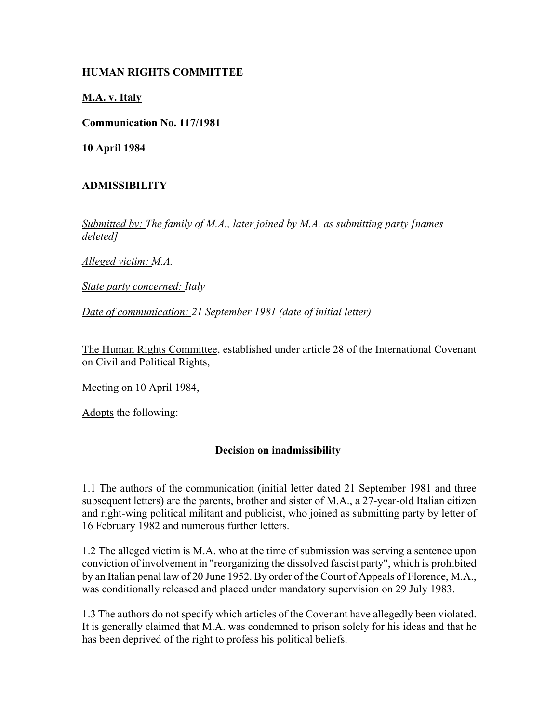## **HUMAN RIGHTS COMMITTEE**

**M.A. v. Italy**

**Communication No. 117/1981**

**10 April 1984**

## **ADMISSIBILITY**

*Submitted by: The family of M.A., later joined by M.A. as submitting party [names deleted]* 

*Alleged victim: M.A.* 

*State party concerned: Italy* 

*Date of communication: 21 September 1981 (date of initial letter)* 

The Human Rights Committee, established under article 28 of the International Covenant on Civil and Political Rights,

Meeting on 10 April 1984,

Adopts the following:

## **Decision on inadmissibility**

1.1 The authors of the communication (initial letter dated 21 September 1981 and three subsequent letters) are the parents, brother and sister of M.A., a 27-year-old Italian citizen and right-wing political militant and publicist, who joined as submitting party by letter of 16 February 1982 and numerous further letters.

1.2 The alleged victim is M.A. who at the time of submission was serving a sentence upon conviction of involvement in "reorganizing the dissolved fascist party", which is prohibited by an Italian penal law of 20 June 1952. By order of the Court of Appeals of Florence, M.A., was conditionally released and placed under mandatory supervision on 29 July 1983.

1.3 The authors do not specify which articles of the Covenant have allegedly been violated. It is generally claimed that M.A. was condemned to prison solely for his ideas and that he has been deprived of the right to profess his political beliefs.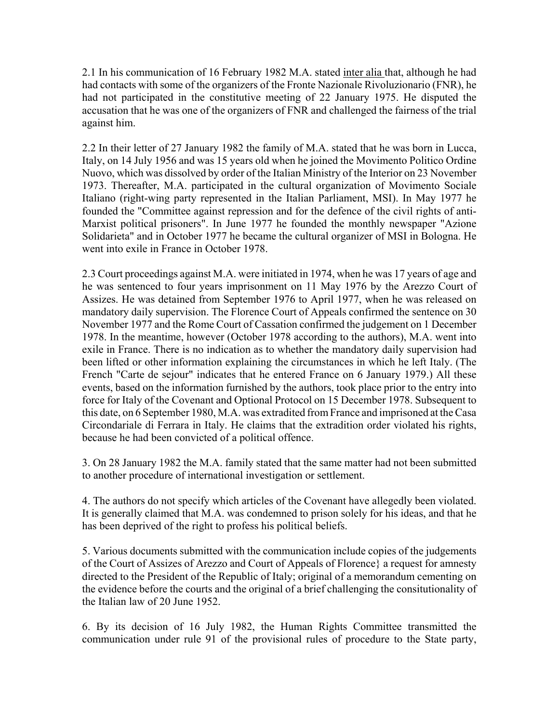2.1 In his communication of 16 February 1982 M.A. stated inter alia that, although he had had contacts with some of the organizers of the Fronte Nazionale Rivoluzionario (FNR), he had not participated in the constitutive meeting of 22 January 1975. He disputed the accusation that he was one of the organizers of FNR and challenged the fairness of the trial against him.

2.2 In their letter of 27 January 1982 the family of M.A. stated that he was born in Lucca, Italy, on 14 July 1956 and was 15 years old when he joined the Movimento Politico Ordine Nuovo, which was dissolved by order of the Italian Ministry of the Interior on 23 November 1973. Thereafter, M.A. participated in the cultural organization of Movimento Sociale Italiano (right-wing party represented in the Italian Parliament, MSI). In May 1977 he founded the "Committee against repression and for the defence of the civil rights of anti-Marxist political prisoners". In June 1977 he founded the monthly newspaper "Azione Solidarieta" and in October 1977 he became the cultural organizer of MSI in Bologna. He went into exile in France in October 1978.

2.3 Court proceedings against M.A. were initiated in 1974, when he was 17 years of age and he was sentenced to four years imprisonment on 11 May 1976 by the Arezzo Court of Assizes. He was detained from September 1976 to April 1977, when he was released on mandatory daily supervision. The Florence Court of Appeals confirmed the sentence on 30 November 1977 and the Rome Court of Cassation confirmed the judgement on 1 December 1978. In the meantime, however (October 1978 according to the authors), M.A. went into exile in France. There is no indication as to whether the mandatory daily supervision had been lifted or other information explaining the circumstances in which he left Italy. (The French "Carte de sejour" indicates that he entered France on 6 January 1979.) All these events, based on the information furnished by the authors, took place prior to the entry into force for Italy of the Covenant and Optional Protocol on 15 December 1978. Subsequent to this date, on 6 September 1980, M.A. was extradited from France and imprisoned at the Casa Circondariale di Ferrara in Italy. He claims that the extradition order violated his rights, because he had been convicted of a political offence.

3. On 28 January 1982 the M.A. family stated that the same matter had not been submitted to another procedure of international investigation or settlement.

4. The authors do not specify which articles of the Covenant have allegedly been violated. It is generally claimed that M.A. was condemned to prison solely for his ideas, and that he has been deprived of the right to profess his political beliefs.

5. Various documents submitted with the communication include copies of the judgements of the Court of Assizes of Arezzo and Court of Appeals of Florence} a request for amnesty directed to the President of the Republic of Italy; original of a memorandum cementing on the evidence before the courts and the original of a brief challenging the consitutionality of the Italian law of 20 June 1952.

6. By its decision of 16 July 1982, the Human Rights Committee transmitted the communication under rule 91 of the provisional rules of procedure to the State party,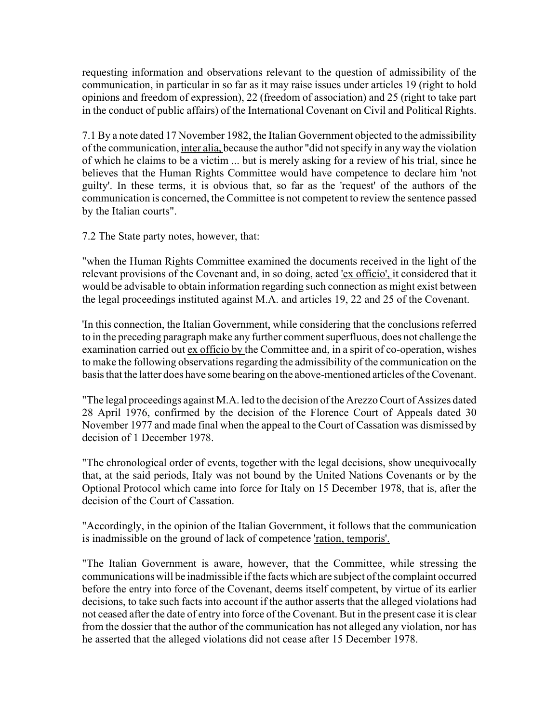requesting information and observations relevant to the question of admissibility of the communication, in particular in so far as it may raise issues under articles 19 (right to hold opinions and freedom of expression), 22 (freedom of association) and 25 (right to take part in the conduct of public affairs) of the International Covenant on Civil and Political Rights.

7.1 By a note dated 17 November 1982, the Italian Government objected to the admissibility of the communication, inter alia, because the author "did not specify in any way the violation of which he claims to be a victim ... but is merely asking for a review of his trial, since he believes that the Human Rights Committee would have competence to declare him 'not guilty'. In these terms, it is obvious that, so far as the 'request' of the authors of the communication is concerned, the Committee is not competent to review the sentence passed by the Italian courts".

7.2 The State party notes, however, that:

"when the Human Rights Committee examined the documents received in the light of the relevant provisions of the Covenant and, in so doing, acted 'ex officio', it considered that it would be advisable to obtain information regarding such connection as might exist between the legal proceedings instituted against M.A. and articles 19, 22 and 25 of the Covenant.

'In this connection, the Italian Government, while considering that the conclusions referred to in the preceding paragraph make any further comment superfluous, does not challenge the examination carried out ex officio by the Committee and, in a spirit of co-operation, wishes to make the following observations regarding the admissibility of the communication on the basis that the latter does have some bearing on the above-mentioned articles of the Covenant.

"The legal proceedings against M.A. led to the decision of the Arezzo Court of Assizes dated 28 April 1976, confirmed by the decision of the Florence Court of Appeals dated 30 November 1977 and made final when the appeal to the Court of Cassation was dismissed by decision of 1 December 1978.

"The chronological order of events, together with the legal decisions, show unequivocally that, at the said periods, Italy was not bound by the United Nations Covenants or by the Optional Protocol which came into force for Italy on 15 December 1978, that is, after the decision of the Court of Cassation.

"Accordingly, in the opinion of the Italian Government, it follows that the communication is inadmissible on the ground of lack of competence 'ration, temporis'.

"The Italian Government is aware, however, that the Committee, while stressing the communications will be inadmissible if the facts which are subject of the complaint occurred before the entry into force of the Covenant, deems itself competent, by virtue of its earlier decisions, to take such facts into account if the author asserts that the alleged violations had not ceased after the date of entry into force of the Covenant. But in the present case it is clear from the dossier that the author of the communication has not alleged any violation, nor has he asserted that the alleged violations did not cease after 15 December 1978.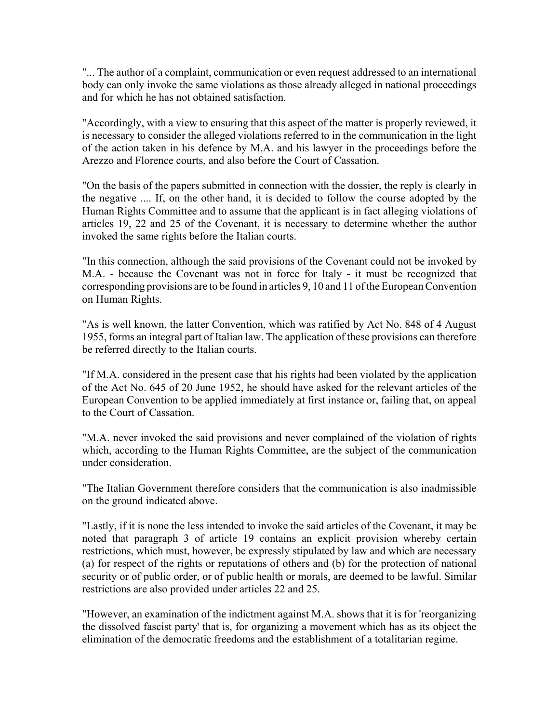"... The author of a complaint, communication or even request addressed to an international body can only invoke the same violations as those already alleged in national proceedings and for which he has not obtained satisfaction.

"Accordingly, with a view to ensuring that this aspect of the matter is properly reviewed, it is necessary to consider the alleged violations referred to in the communication in the light of the action taken in his defence by M.A. and his lawyer in the proceedings before the Arezzo and Florence courts, and also before the Court of Cassation.

"On the basis of the papers submitted in connection with the dossier, the reply is clearly in the negative .... If, on the other hand, it is decided to follow the course adopted by the Human Rights Committee and to assume that the applicant is in fact alleging violations of articles 19, 22 and 25 of the Covenant, it is necessary to determine whether the author invoked the same rights before the Italian courts.

"In this connection, although the said provisions of the Covenant could not be invoked by M.A. - because the Covenant was not in force for Italy - it must be recognized that corresponding provisions are to be found in articles 9, 10 and 11 of the European Convention on Human Rights.

"As is well known, the latter Convention, which was ratified by Act No. 848 of 4 August 1955, forms an integral part of Italian law. The application of these provisions can therefore be referred directly to the Italian courts.

"If M.A. considered in the present case that his rights had been violated by the application of the Act No. 645 of 20 June 1952, he should have asked for the relevant articles of the European Convention to be applied immediately at first instance or, failing that, on appeal to the Court of Cassation.

"M.A. never invoked the said provisions and never complained of the violation of rights which, according to the Human Rights Committee, are the subject of the communication under consideration.

"The Italian Government therefore considers that the communication is also inadmissible on the ground indicated above.

"Lastly, if it is none the less intended to invoke the said articles of the Covenant, it may be noted that paragraph 3 of article 19 contains an explicit provision whereby certain restrictions, which must, however, be expressly stipulated by law and which are necessary (a) for respect of the rights or reputations of others and (b) for the protection of national security or of public order, or of public health or morals, are deemed to be lawful. Similar restrictions are also provided under articles 22 and 25.

"However, an examination of the indictment against M.A. shows that it is for 'reorganizing the dissolved fascist party' that is, for organizing a movement which has as its object the elimination of the democratic freedoms and the establishment of a totalitarian regime.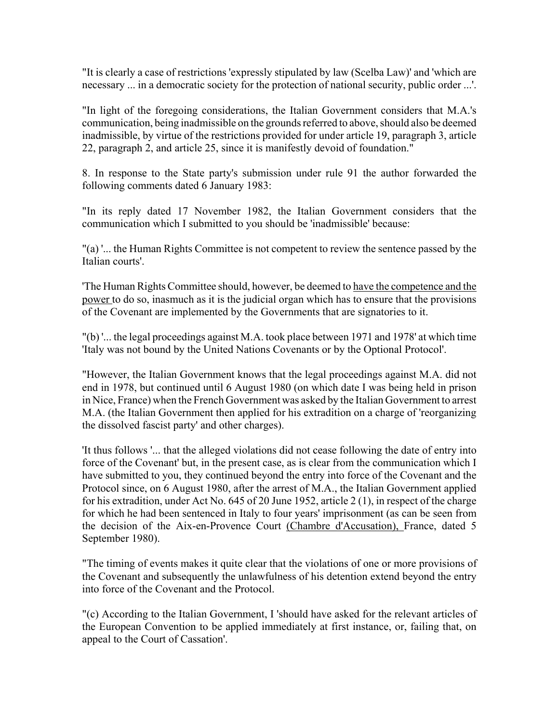"It is clearly a case of restrictions 'expressly stipulated by law (Scelba Law)' and 'which are necessary ... in a democratic society for the protection of national security, public order ...'.

"In light of the foregoing considerations, the Italian Government considers that M.A.'s communication, being inadmissible on the grounds referred to above, should also be deemed inadmissible, by virtue of the restrictions provided for under article 19, paragraph 3, article 22, paragraph 2, and article 25, since it is manifestly devoid of foundation."

8. In response to the State party's submission under rule 91 the author forwarded the following comments dated 6 January 1983:

"In its reply dated 17 November 1982, the Italian Government considers that the communication which I submitted to you should be 'inadmissible' because:

"(a) '... the Human Rights Committee is not competent to review the sentence passed by the Italian courts'.

'The Human Rights Committee should, however, be deemed to have the competence and the power to do so, inasmuch as it is the judicial organ which has to ensure that the provisions of the Covenant are implemented by the Governments that are signatories to it.

"(b) '... the legal proceedings against M.A. took place between 1971 and 1978' at which time 'Italy was not bound by the United Nations Covenants or by the Optional Protocol'.

"However, the Italian Government knows that the legal proceedings against M.A. did not end in 1978, but continued until 6 August 1980 (on which date I was being held in prison in Nice, France) when the French Government was asked by the Italian Government to arrest M.A. (the Italian Government then applied for his extradition on a charge of 'reorganizing the dissolved fascist party' and other charges).

'It thus follows '... that the alleged violations did not cease following the date of entry into force of the Covenant' but, in the present case, as is clear from the communication which I have submitted to you, they continued beyond the entry into force of the Covenant and the Protocol since, on 6 August 1980, after the arrest of M.A., the Italian Government applied for his extradition, under Act No. 645 of 20 June 1952, article 2 (1), in respect of the charge for which he had been sentenced in Italy to four years' imprisonment (as can be seen from the decision of the Aix-en-Provence Court (Chambre d'Accusation), France, dated 5 September 1980).

"The timing of events makes it quite clear that the violations of one or more provisions of the Covenant and subsequently the unlawfulness of his detention extend beyond the entry into force of the Covenant and the Protocol.

"(c) According to the Italian Government, I 'should have asked for the relevant articles of the European Convention to be applied immediately at first instance, or, failing that, on appeal to the Court of Cassation'.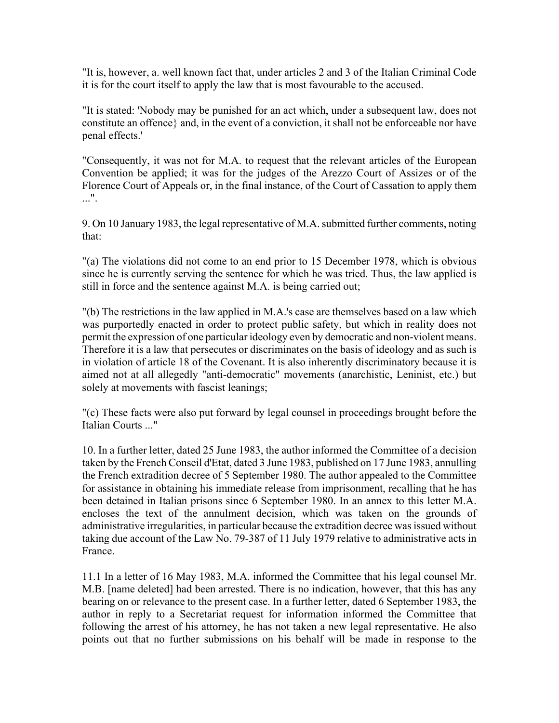"It is, however, a. well known fact that, under articles 2 and 3 of the Italian Criminal Code it is for the court itself to apply the law that is most favourable to the accused.

"It is stated: 'Nobody may be punished for an act which, under a subsequent law, does not constitute an offence} and, in the event of a conviction, it shall not be enforceable nor have penal effects.'

"Consequently, it was not for M.A. to request that the relevant articles of the European Convention be applied; it was for the judges of the Arezzo Court of Assizes or of the Florence Court of Appeals or, in the final instance, of the Court of Cassation to apply them ...".

9. On 10 January 1983, the legal representative of M.A. submitted further comments, noting that:

"(a) The violations did not come to an end prior to 15 December 1978, which is obvious since he is currently serving the sentence for which he was tried. Thus, the law applied is still in force and the sentence against M.A. is being carried out;

"(b) The restrictions in the law applied in M.A.'s case are themselves based on a law which was purportedly enacted in order to protect public safety, but which in reality does not permit the expression of one particular ideology even by democratic and non-violent means. Therefore it is a law that persecutes or discriminates on the basis of ideology and as such is in violation of article 18 of the Covenant. It is also inherently discriminatory because it is aimed not at all allegedly "anti-democratic" movements (anarchistic, Leninist, etc.) but solely at movements with fascist leanings;

"(c) These facts were also put forward by legal counsel in proceedings brought before the Italian Courts ..."

10. In a further letter, dated 25 June 1983, the author informed the Committee of a decision taken by the French Conseil d'Etat, dated 3 June 1983, published on 17 June 1983, annulling the French extradition decree of 5 September 1980. The author appealed to the Committee for assistance in obtaining his immediate release from imprisonment, recalling that he has been detained in Italian prisons since 6 September 1980. In an annex to this letter M.A. encloses the text of the annulment decision, which was taken on the grounds of administrative irregularities, in particular because the extradition decree was issued without taking due account of the Law No. 79-387 of 11 July 1979 relative to administrative acts in France.

11.1 In a letter of 16 May 1983, M.A. informed the Committee that his legal counsel Mr. M.B. [name deleted] had been arrested. There is no indication, however, that this has any bearing on or relevance to the present case. In a further letter, dated 6 September 1983, the author in reply to a Secretariat request for information informed the Committee that following the arrest of his attorney, he has not taken a new legal representative. He also points out that no further submissions on his behalf will be made in response to the